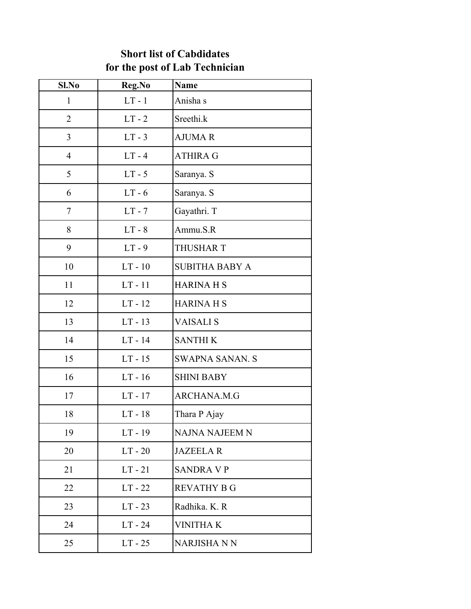## **Short list of Cabdidates for the post of Lab Technician**

| Sl.No          | Reg.No    | <b>Name</b>            |
|----------------|-----------|------------------------|
| $\mathbf{1}$   | $LT - 1$  | Anisha s               |
| $\overline{2}$ | $LT - 2$  | Sreethi.k              |
| 3              | $LT - 3$  | <b>AJUMAR</b>          |
| $\overline{4}$ | $LT - 4$  | <b>ATHIRA G</b>        |
| 5              | $LT - 5$  | Saranya. S             |
| 6              | $LT - 6$  | Saranya. S             |
| 7              | $LT - 7$  | Gayathri. T            |
| 8              | $LT - 8$  | Ammu.S.R               |
| 9              | $LT - 9$  | <b>THUSHAR T</b>       |
| 10             | $LT - 10$ | <b>SUBITHA BABY A</b>  |
| 11             | $LT - 11$ | <b>HARINA H S</b>      |
| 12             | $LT - 12$ | <b>HARINA H S</b>      |
| 13             | $LT - 13$ | <b>VAISALIS</b>        |
| 14             | $LT - 14$ | <b>SANTHIK</b>         |
| 15             | $LT - 15$ | <b>SWAPNA SANAN. S</b> |
| 16             | $LT - 16$ | <b>SHINI BABY</b>      |
| 17             | $LT - 17$ | ARCHANA.M.G            |
| 18             | $LT - 18$ | Thara P Ajay           |
| 19             | $LT - 19$ | <b>NAJNA NAJEEM N</b>  |
| 20             | $LT - 20$ | <b>JAZEELAR</b>        |
| 21             | $LT - 21$ | <b>SANDRA V P</b>      |
| 22             | $LT - 22$ | <b>REVATHY B G</b>     |
| 23             | $LT - 23$ | Radhika. K. R          |
| 24             | $LT - 24$ | <b>VINITHAK</b>        |
| 25             | $LT - 25$ | NARJISHA N N           |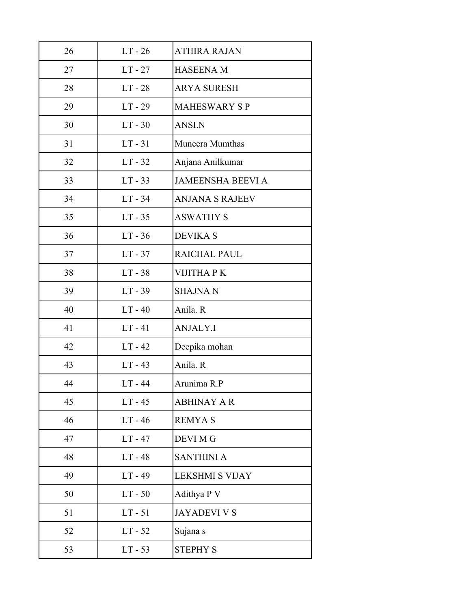| 26 | $LT - 26$ | <b>ATHIRA RAJAN</b>      |
|----|-----------|--------------------------|
| 27 | $LT - 27$ | <b>HASEENA M</b>         |
| 28 | $LT - 28$ | <b>ARYA SURESH</b>       |
| 29 | $LT - 29$ | <b>MAHESWARY SP</b>      |
| 30 | $LT - 30$ | <b>ANSI.N</b>            |
| 31 | $LT - 31$ | Muneera Mumthas          |
| 32 | $LT - 32$ | Anjana Anilkumar         |
| 33 | $LT - 33$ | <b>JAMEENSHA BEEVI A</b> |
| 34 | $LT - 34$ | <b>ANJANA S RAJEEV</b>   |
| 35 | $LT - 35$ | <b>ASWATHY S</b>         |
| 36 | $LT - 36$ | <b>DEVIKA S</b>          |
| 37 | $LT - 37$ | RAICHAL PAUL             |
| 38 | $LT - 38$ | <b>VIJITHA PK</b>        |
| 39 | $LT - 39$ | <b>SHAJNAN</b>           |
| 40 | $LT - 40$ | Anila. R                 |
| 41 | $LT - 41$ | <b>ANJALY.I</b>          |
| 42 | $LT - 42$ | Deepika mohan            |
| 43 | $LT - 43$ | Anila. R                 |
| 44 | $LT - 44$ | Arunima R.P              |
| 45 | $LT - 45$ | <b>ABHINAY A R</b>       |
| 46 | $LT - 46$ | <b>REMYAS</b>            |
| 47 | $LT - 47$ | <b>DEVI MG</b>           |
| 48 | $LT - 48$ | <b>SANTHINI A</b>        |
| 49 | $LT - 49$ | <b>LEKSHMI S VIJAY</b>   |
| 50 | $LT - 50$ | Adithya P V              |
| 51 | $LT - 51$ | <b>JAYADEVI V S</b>      |
| 52 | $LT - 52$ | Sujana s                 |
| 53 | $LT - 53$ | <b>STEPHY S</b>          |